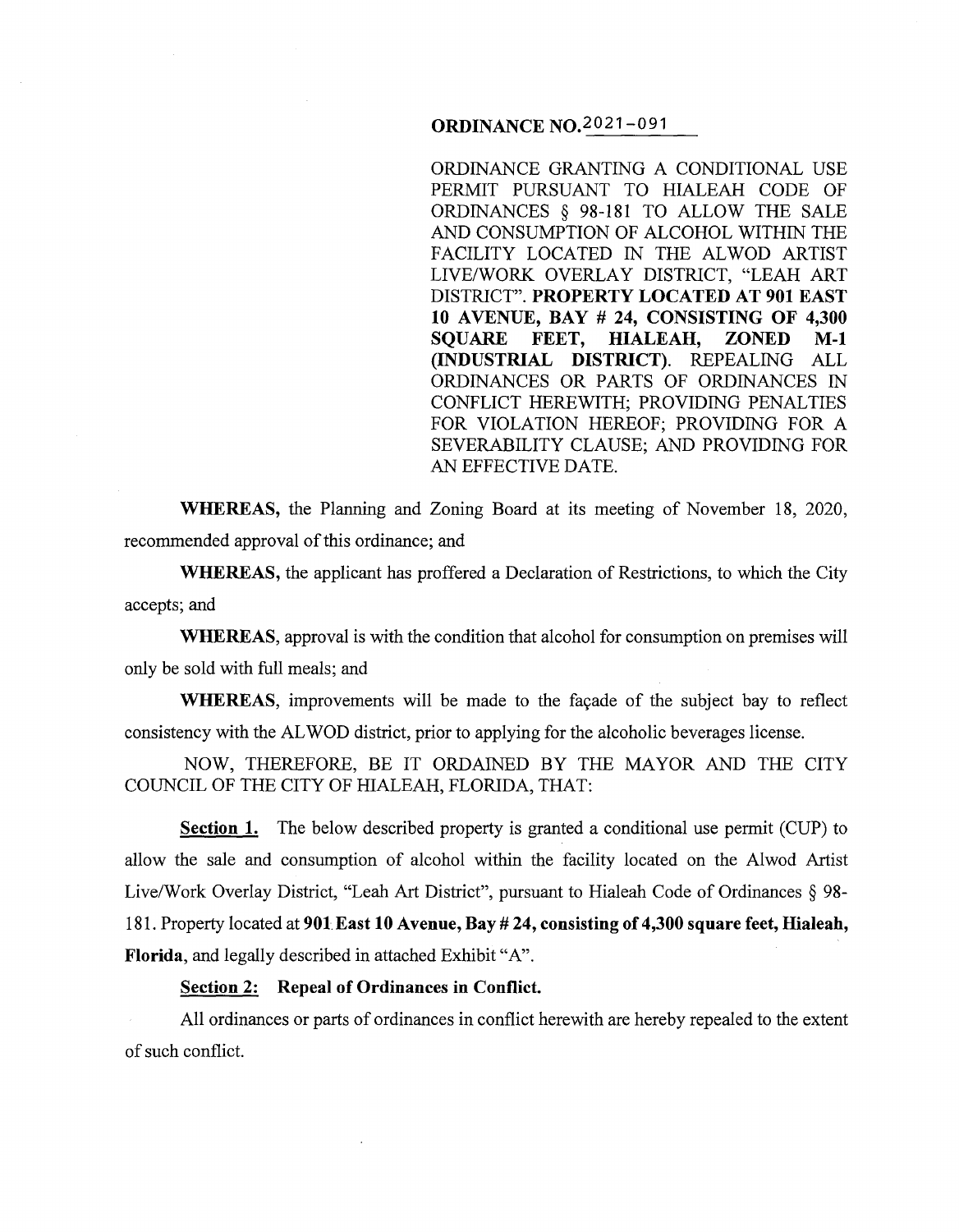# **ORDINANCE** N0.2021-091

ORDINANCE GRANTING A CONDITIONAL USE PERMIT PURSUANT TO HIALEAH CODE OF ORDINANCES § 98-181 TO ALLOW THE SALE AND CONSUMPTION OF ALCOHOL WITHIN THE FACILITY LOCATED IN THE ALWOD ARTIST LIVE/WORK OVERLAY DISTRICT, "LEAH ART DISTRICT". **PROPERTY LOCATED AT 901 EAST 10 AVENUE, BAY# 24, CONSISTING OF 4,300 SQUARE FEET, HIALEAH, ZONED M-1 (INDUSTRIAL DISTRICT).** REPEALING ALL ORDINANCES OR PARTS OF ORDINANCES IN CONFLICT HEREWITH; PROVIDING PENALTIES FOR VIOLATION HEREOF; PROVIDING FOR A SEVERABILITY CLAUSE; AND PROVIDING FOR AN EFFECTIVE DATE.

**WHEREAS,** the Planning and Zoning Board at its meeting of November 18, 2020, recommended approval of this ordinance; and

**WHEREAS,** the applicant has proffered a Declaration of Restrictions, to which the City accepts; and

**WHEREAS,** approval is with the condition that alcohol for consumption on premises will only be sold with full meals; and

**WHEREAS,** improvements will be made to the façade of the subject bay to reflect consistency with the AL WOD district, prior to applying for the alcoholic beverages license.

NOW, THEREFORE, BE IT ORDAINED BY THE MAYOR AND THE CITY COUNCIL OF THE CITY OF HIALEAH, FLORIDA, THAT:

**Section 1.** The below described property is granted a conditional use permit (CUP) to allow the sale and consumption of alcohol within the facility located on the Alwod Artist Live/Work Overlay District, "Leah Art District", pursuant to Hialeah Code of Ordinances § 98- 181. Property located at **901East 10 Avenue, Bay# 24, consisting of 4,300 square feet, Hialeah, Florida,** and legally described in attached Exhibit "A".

### **Section 2: Repeal of Ordinances in Conflict.**

All ordinances or parts of ordinances in conflict herewith are hereby repealed to the extent of such conflict.